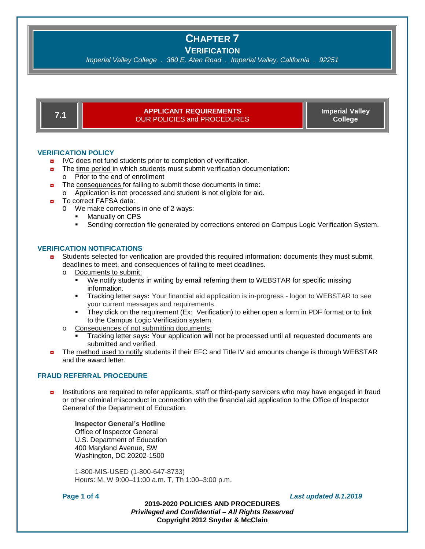**VERIFICATION**

*Imperial Valley College . 380 E. Aten Road . Imperial Valley, California . 92251*

## **7.1 APPLICANT REQUIREMENTS** OUR POLICIES and PROCEDURES

**Imperial Valley College** 

## **VERIFICATION POLICY**

- **D** IVC does not fund students prior to completion of verification.
- **n** The time period in which students must submit verification documentation:
	- o Prior to the end of enrollment
- $\blacksquare$  The consequences for failing to submit those documents in time: o Application is not processed and student is not eligible for aid.
- To correct FAFSA data:
	- O We make corrections in one of 2 ways:
		- Manually on CPS
		- **Sending correction file generated by corrections entered on Campus Logic Verification System.**

## **VERIFICATION NOTIFICATIONS**

- ◘ Students selected for verification are provided this required information**:** documents they must submit, deadlines to meet, and consequences of failing to meet deadlines.
	- o Documents to submit:
		- We notify students in writing by email referring them to WEBSTAR for specific missing information.
		- Tracking letter says**:** Your financial aid application is in-progress logon to WEBSTAR to see your current messages and requirements.
		- They click on the requirement (Ex: Verification) to either open a form in PDF format or to link to the Campus Logic Verification system.
	- o Consequences of not submitting documents:
		- Tracking letter says**:** Your application will not be processed until all requested documents are submitted and verified.
- **n** The method used to notify students if their EFC and Title IV aid amounts change is through WEBSTAR and the award letter.

## **FRAUD REFERRAL PROCEDURE**

◘ Institutions are required to refer applicants, staff or third-party servicers who may have engaged in fraud or other criminal misconduct in connection with the financial aid application to the Office of Inspector General of the Department of Education.

**Inspector General's Hotline** Office of Inspector General U.S. Department of Education 400 Maryland Avenue, SW Washington, DC 20202-1500

1-800-MIS-USED (1-800-647-8733) Hours: M, W 9:00–11:00 a.m. T, Th 1:00–3:00 p.m.

**Page 1 of 4** *Last updated 8.1.2019*

**2019-2020 POLICIES AND PROCEDURES** *Privileged and Confidential – All Rights Reserved* **Copyright 2012 Snyder & McClain**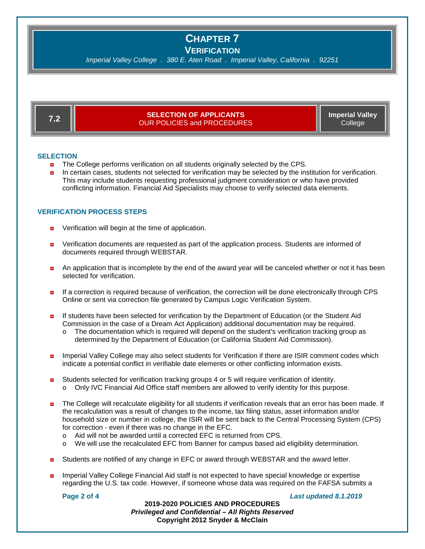**VERIFICATION**

*Imperial Valley College . 380 E. Aten Road . Imperial Valley, California . 92251*

| - 7 | <b>SELECTION OF APPLICANTS</b>     | <b>Imperial Valley</b> |
|-----|------------------------------------|------------------------|
|     | <b>OUR POLICIES and PROCEDURES</b> | College                |

## **SELECTION**

- **n** The College performs verification on all students originally selected by the CPS.
- In certain cases, students not selected for verification may be selected by the institution for verification. This may include students requesting professional judgment consideration or who have provided conflicting information. Financial Aid Specialists may choose to verify selected data elements.

## **VERIFICATION PROCESS STEPS**

- **D** Verification will begin at the time of application.
- Verification documents are requested as part of the application process. Students are informed of documents required through WEBSTAR.
- **a** An application that is incomplete by the end of the award year will be canceled whether or not it has been selected for verification.
- ◘ If a correction is required because of verification, the correction will be done electronically through CPS Online or sent via correction file generated by Campus Logic Verification System.
- ◘ If students have been selected for verification by the Department of Education (or the Student Aid Commission in the case of a Dream Act Application) additional documentation may be required.
	- o The documentation which is required will depend on the student's verification tracking group as determined by the Department of Education (or California Student Aid Commission).
- **n** Imperial Valley College may also select students for Verification if there are ISIR comment codes which indicate a potential conflict in verifiable date elements or other conflicting information exists.
- **D** Students selected for verification tracking groups 4 or 5 will require verification of identity. o Only IVC Financial Aid Office staff members are allowed to verify identity for this purpose.
- The College will recalculate eligibility for all students if verification reveals that an error has been made. If the recalculation was a result of changes to the income, tax filing status, asset information and/or household size or number in college, the ISIR will be sent back to the Central Processing System (CPS) for correction - even if there was no change in the EFC.
	- $\circ$  Aid will not be awarded until a corrected EFC is returned from CPS.<br> $\circ$  We will use the recalculated EFC from Banner for campus based aid
	- We will use the recalculated EFC from Banner for campus based aid eligibility determination.
- **D** Students are notified of any change in EFC or award through WEBSTAR and the award letter.
- Imperial Valley College Financial Aid staff is not expected to have special knowledge or expertise regarding the U.S. tax code. However, if someone whose data was required on the FAFSA submits a

**Page 2 of 4** *Last updated 8.1.2019*

**2019-2020 POLICIES AND PROCEDURES** *Privileged and Confidential – All Rights Reserved* **Copyright 2012 Snyder & McClain**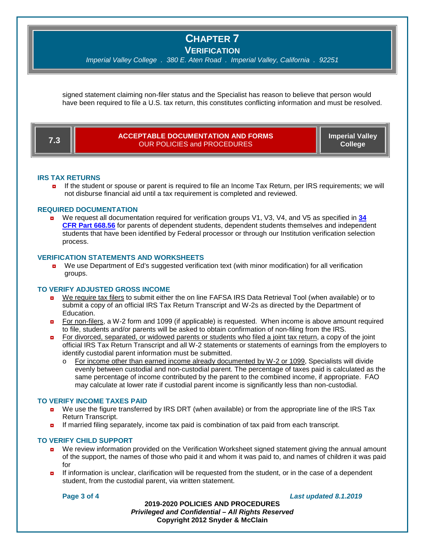**VERIFICATION**

*Imperial Valley College . 380 E. Aten Road . Imperial Valley, California . 92251*

signed statement claiming non-filer status and the Specialist has reason to believe that person would have been required to file a U.S. tax return, this constitutes conflicting information and must be resolved.

| 7.3 | <b>ACCEPTABLE DOCUMENTATION AND FORMS</b><br><b>OUR POLICIES and PROCEDURES</b> | <b>Imperial Valley</b><br>College <sup>1</sup> |
|-----|---------------------------------------------------------------------------------|------------------------------------------------|
|-----|---------------------------------------------------------------------------------|------------------------------------------------|

#### **IRS TAX RETURNS**

◘ If the student or spouse or parent is required to file an Income Tax Return, per IRS requirements; we will not disburse financial aid until a tax requirement is completed and reviewed.

## **REQUIRED DOCUMENTATION**

◘ We request all documentation required for verification groups V1, V3, V4, and V5 as specified in **[34](http://www.ecfr.gov/cgi-bin/text-idx?SID=a746929c55d7abc0f8369a15fb736f3d&mc=true&node=se34.3.668_156&rgn=div8)  [CFR Part 668.56](http://www.ecfr.gov/cgi-bin/text-idx?SID=a746929c55d7abc0f8369a15fb736f3d&mc=true&node=se34.3.668_156&rgn=div8)** for parents of dependent students, dependent students themselves and independent students that have been identified by Federal processor or through our Institution verification selection process.

#### **VERIFICATION STATEMENTS AND WORKSHEETS**

**D** We use Department of Ed's suggested verification text (with minor modification) for all verification groups.

## **TO VERIFY ADJUSTED GROSS INCOME**

- We require tax filers to submit either the on line FAFSA IRS Data Retrieval Tool (when available) or to submit a copy of an official IRS Tax Return Transcript and W-2s as directed by the Department of Education.
- ◘ For non-filers, a W-2 form and 1099 (if applicable) is requested. When income is above amount required to file, students and/or parents will be asked to obtain confirmation of non-filing from the IRS.
- **Por divorced, separated, or widowed parents or students who filed a joint tax return, a copy of the joint** official IRS Tax Return Transcript and all W-2 statements or statements of earnings from the employers to identify custodial parent information must be submitted.
	- o For income other than earned income already documented by W-2 or 1099, Specialists will divide evenly between custodial and non-custodial parent. The percentage of taxes paid is calculated as the same percentage of income contributed by the parent to the combined income, if appropriate. FAO may calculate at lower rate if custodial parent income is significantly less than non-custodial.

#### **TO VERIFY INCOME TAXES PAID**

- ◘ We use the figure transferred by IRS DRT (when available) or from the appropriate line of the IRS Tax Return Transcript.
- **D** If married filing separately, income tax paid is combination of tax paid from each transcript.

## **TO VERIFY CHILD SUPPORT**

- **D** We review information provided on the Verification Worksheet signed statement giving the annual amount of the support, the names of those who paid it and whom it was paid to, and names of children it was paid for
- **D** If information is unclear, clarification will be requested from the student, or in the case of a dependent student, from the custodial parent, via written statement.

## **Page 3 of 4** *Last updated 8.1.2019*

**2019-2020 POLICIES AND PROCEDURES** *Privileged and Confidential – All Rights Reserved* **Copyright 2012 Snyder & McClain**